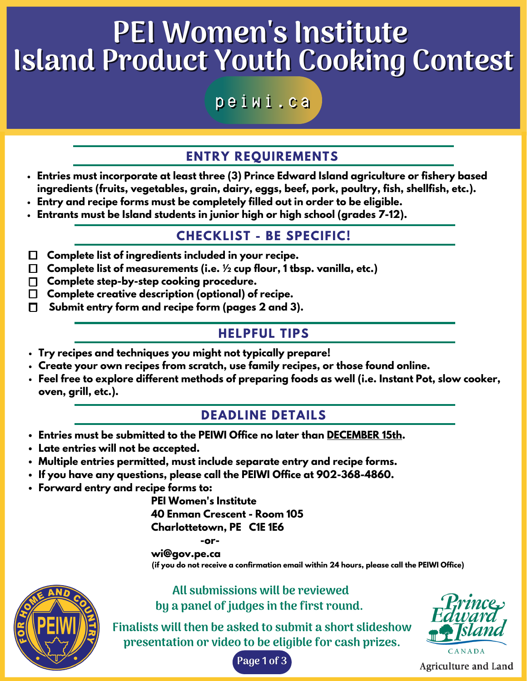# PEI Women 's Institute Island Product Youth Cooking Contest

peiwi.ca

## **ENTRY REQUIREMENTS**

- **Entries must incorporate at least three (3) Prince Edward Island agriculture or fishery based ingredients (fruits, vegetables, grain, dairy, eggs, beef, pork, poultry, fish, shellfish, etc.).**
- **Entry and recipe forms must be completely filled out in order to be eligible.**
- **Entrants must be Island students in junior high or high school (grades 7-12).**

### **CHECKLIST - BE SPECIFIC!**

- **.. Complete list of ingredients included in your recipe.** ☐
- **.. Complete list of measurements (i.e. ½ cup flour, 1 tbsp. vanilla, etc.)** ☐
- **.. Complete step-by-step cooking procedure.** ☐
- **.. Complete creative description (optional) of recipe.** ☐
- **Submit entry form and recipe form (pages 2 and 3).** ☐

### **HELPFUL TIPS**

- **Try recipes and techniques you might not typically prepare!**
- **Create your own recipes from scratch, use family recipes, or those found online.**
- **Feel free to explore different methods of preparing foods as well (i.e. Instant Pot, slow cooker, oven, grill, etc.).**

## **DEADLINE DETAILS**

- **Entries must be submitted to the PEIWI Office no later than DECEMBER 15th.**
- **Late entries will not be accepted.**
- **Multiple entries permitted, must include separate entry and recipe forms.**
- **If you have any questions, please call the PEIWI Office at 902-368-4860.**
- **Forward entry and recipe forms to:**

**PEI Women's Institute 40 Enman Crescent - Room 105 Charlottetown, PE C1E 1E6**

### **-or-**

**wi@gov.pe.ca (if you do not receive a confirmation email within 24 hours, please call the PEIWI Office)**



All submissions will be reviewed by a panel of judges in the first round.

Finalists will then be asked to submit a short slideshow presentation or video to be eligible for cash prizes.



**Agriculture and Land** 

Page 1 of 3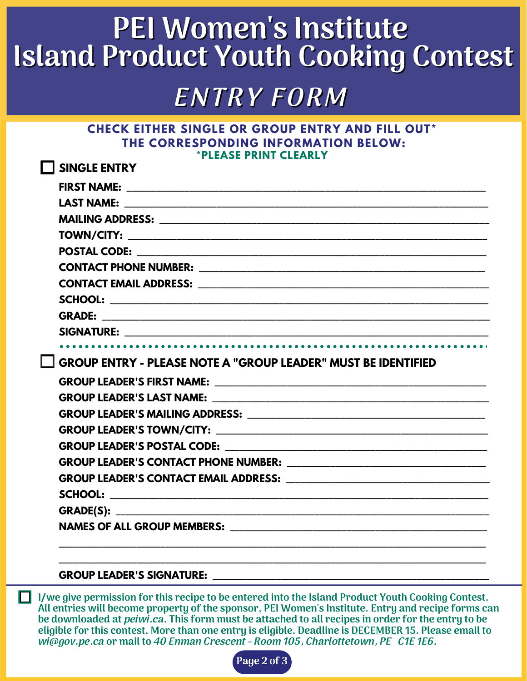# **GREEN** Island Product Youth Cooking Contest PEI Women 's Institute

# **ENTRY FORM**

### **CHECK EITHER SINGLE OR GROUP ENTRY AND FILL OUT\* THE CORRESPONDING INFORMATION BELOW: \*PLEASE PRINT CLEARLY**

| <b>LESINGLE ENTRY</b>                                                                                          |
|----------------------------------------------------------------------------------------------------------------|
|                                                                                                                |
| LAST NAME: And the contract of the contract of the contract of the contract of the contract of the contract of |
|                                                                                                                |
|                                                                                                                |
|                                                                                                                |
|                                                                                                                |
|                                                                                                                |
|                                                                                                                |
|                                                                                                                |
|                                                                                                                |
|                                                                                                                |
| <b>GROUP ENTRY - PLEASE NOTE A "GROUP LEADER" MUST BE IDENTIFIED</b>                                           |
|                                                                                                                |
|                                                                                                                |
|                                                                                                                |
|                                                                                                                |
|                                                                                                                |
|                                                                                                                |
|                                                                                                                |
|                                                                                                                |
|                                                                                                                |
|                                                                                                                |
| NAMES OF ALL GROUP MEMBERS: WE ARREST AND A CONTROL CONTROL AND THE SERVICE OF ALL CROUP MEMBERS:              |
|                                                                                                                |

### **GROUP LEADER'S SIGNATURE: \_\_\_\_\_\_\_\_\_\_\_\_\_\_\_\_\_\_\_\_\_\_\_\_\_\_\_\_\_\_\_\_\_\_\_\_\_\_\_\_\_\_\_\_\_\_\_\_\_\_\_\_\_\_\_\_\_**

I/we give permission for this recipe to be entered into the Island Product Youth Cooking Contest. All entries will become property of the sponsor, PEI Women's Institute. Entry and recipe forms can be downloaded at *peiwi.ca*. This form must be attached to all recipes in order for the entry to be eligible for this contest. More than one entry is eligible. Deadline is DECEMBER 15. Please email to wi@gov.pe.ca or mail to 40 Enman Crescent - Room 105, Charlottetown, PE C1E 1E6.  $\Box$ 

**\_\_\_\_\_\_\_\_\_\_\_\_\_\_\_\_\_\_\_\_\_\_\_\_\_\_\_\_\_\_\_\_\_\_\_\_\_\_\_\_\_\_\_\_\_\_\_\_\_\_\_\_\_\_\_\_\_\_\_\_\_\_\_\_\_\_\_\_\_\_\_\_\_\_\_\_\_\_\_\_\_\_\_\_\_\_\_\_**